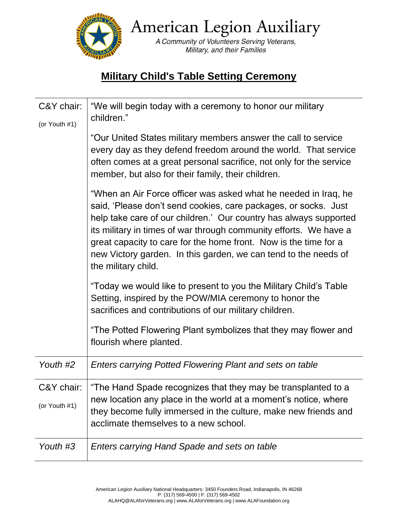

American Legion Auxiliary

A Community of Volunteers Serving Veterans, Military, and their Families

## **Military Child's Table Setting Ceremony**

| C&Y chair:<br>(or Youth #1) | "We will begin today with a ceremony to honor our military<br>children."                                                                                                                                                                                                                                                                                                                                                                   |
|-----------------------------|--------------------------------------------------------------------------------------------------------------------------------------------------------------------------------------------------------------------------------------------------------------------------------------------------------------------------------------------------------------------------------------------------------------------------------------------|
|                             | "Our United States military members answer the call to service<br>every day as they defend freedom around the world. That service<br>often comes at a great personal sacrifice, not only for the service<br>member, but also for their family, their children.                                                                                                                                                                             |
|                             | "When an Air Force officer was asked what he needed in Iraq, he<br>said, 'Please don't send cookies, care packages, or socks. Just<br>help take care of our children.' Our country has always supported<br>its military in times of war through community efforts. We have a<br>great capacity to care for the home front. Now is the time for a<br>new Victory garden. In this garden, we can tend to the needs of<br>the military child. |
|                             | "Today we would like to present to you the Military Child's Table<br>Setting, inspired by the POW/MIA ceremony to honor the<br>sacrifices and contributions of our military children.                                                                                                                                                                                                                                                      |
|                             | "The Potted Flowering Plant symbolizes that they may flower and<br>flourish where planted.                                                                                                                                                                                                                                                                                                                                                 |
| Youth #2                    | Enters carrying Potted Flowering Plant and sets on table                                                                                                                                                                                                                                                                                                                                                                                   |
| C&Y chair:<br>(or Youth #1) | "The Hand Spade recognizes that they may be transplanted to a<br>new location any place in the world at a moment's notice, where<br>they become fully immersed in the culture, make new friends and<br>acclimate themselves to a new school.                                                                                                                                                                                               |
| Youth #3                    | Enters carrying Hand Spade and sets on table                                                                                                                                                                                                                                                                                                                                                                                               |